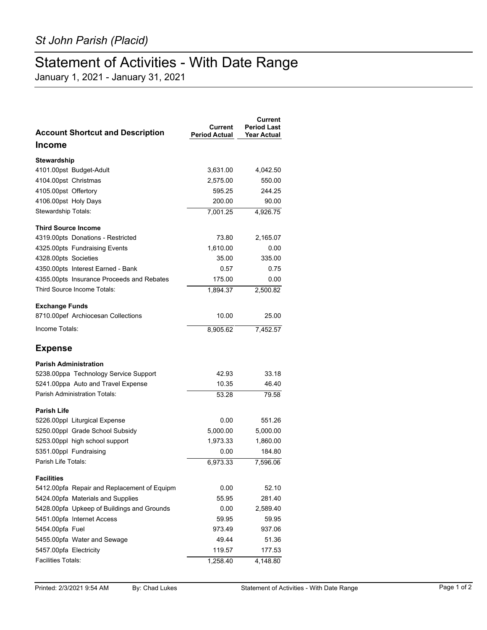## Statement of Activities - With Date Range

January 1, 2021 - January 31, 2021

| <b>Account Shortcut and Description</b>     | Current<br><b>Period Actual</b> | Current<br><b>Period Last</b><br><b>Year Actual</b> |
|---------------------------------------------|---------------------------------|-----------------------------------------------------|
| <b>Income</b>                               |                                 |                                                     |
| Stewardship                                 |                                 |                                                     |
| 4101.00pst Budget-Adult                     | 3,631.00                        | 4,042.50                                            |
| 4104.00pst Christmas                        | 2,575.00                        | 550.00                                              |
| 4105.00pst Offertory                        | 595.25                          | 244.25                                              |
| 4106.00pst Holy Days                        | 200.00                          | 90.00                                               |
| Stewardship Totals:                         | 7,001.25                        | 4,926.75                                            |
| <b>Third Source Income</b>                  |                                 |                                                     |
| 4319.00pts Donations - Restricted           | 73.80                           | 2,165.07                                            |
| 4325.00pts Fundraising Events               | 1,610.00                        | 0.00                                                |
| 4328.00pts Societies                        | 35.00                           | 335.00                                              |
| 4350.00pts Interest Earned - Bank           | 0.57                            | 0.75                                                |
| 4355.00pts Insurance Proceeds and Rebates   | 175.00                          | 0.00                                                |
| Third Source Income Totals:                 | 1,894.37                        | 2,500.82                                            |
| <b>Exchange Funds</b>                       |                                 |                                                     |
| 8710.00pef Archiocesan Collections          | 10.00                           | 25.00                                               |
| Income Totals:                              | 8,905.62                        | 7,452.57                                            |
| <b>Expense</b>                              |                                 |                                                     |
| <b>Parish Administration</b>                |                                 |                                                     |
| 5238.00ppa Technology Service Support       | 42.93                           | 33.18                                               |
| 5241.00ppa Auto and Travel Expense          | 10.35                           | 46.40                                               |
| <b>Parish Administration Totals:</b>        | 53.28                           | 79.58                                               |
| <b>Parish Life</b>                          |                                 |                                                     |
| 5226.00ppl Liturgical Expense               | 0.00                            | 551.26                                              |
| 5250.00ppl Grade School Subsidy             | 5,000.00                        | 5,000.00                                            |
| 5253.00ppl high school support              | 1,973.33                        | 1,860.00                                            |
| 5351.00ppl Fundraising                      | 0.00                            | 184.80                                              |
| Parish Life Totals:                         | 6,973.33                        | 7,596.06                                            |
| <b>Facilities</b>                           |                                 |                                                     |
| 5412.00pfa Repair and Replacement of Equipm | 0.00                            | 52.10                                               |
| 5424.00pfa Materials and Supplies           | 55.95                           | 281.40                                              |
| 5428.00pfa Upkeep of Buildings and Grounds  | 0.00                            | 2,589.40                                            |
| 5451.00pfa Internet Access                  | 59.95                           | 59.95                                               |
| 5454.00pfa Fuel                             | 973.49                          | 937.06                                              |
| 5455.00pfa Water and Sewage                 | 49.44                           | 51.36                                               |
| 5457.00pfa Electricity                      | 119.57                          | 177.53                                              |
| <b>Facilities Totals:</b>                   | 1,258.40                        | 4,148.80                                            |